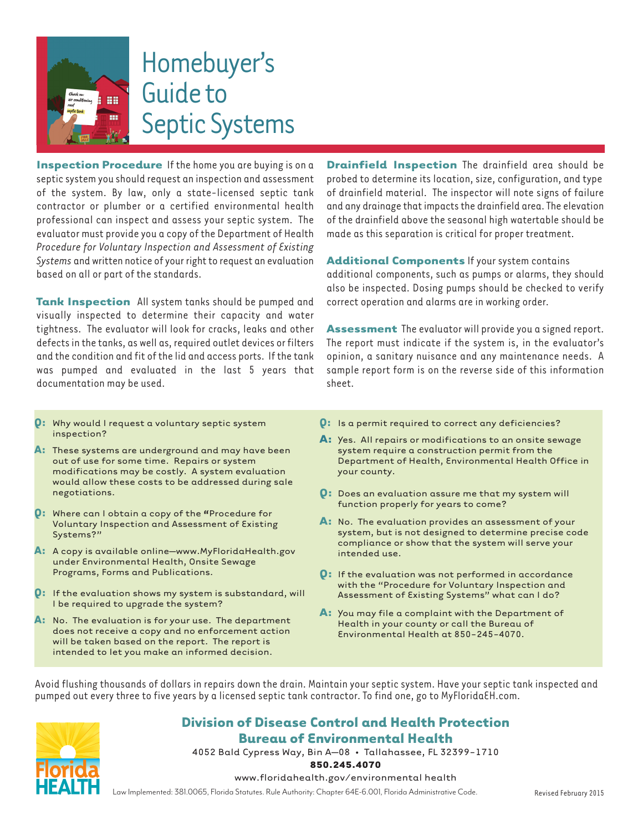

**Inspection Procedure** If the home you are buying is on a septic system you should request an inspection and assessment of the system. By law, only a state-licensed septic tank contractor or plumber or a certified environmental health professional can inspect and assess your septic system. The evaluator must provide you a copy of the Department of Health *Procedure for Voluntary Inspection and Assessment of Existing Systems* and written notice of your right to request an evaluation based on all or part of the standards.

**Tank Inspection** All system tanks should be pumped and visually inspected to determine their capacity and water tightness. The evaluator will look for cracks, leaks and other defects in the tanks, as well as, required outlet devices or filters and the condition and fit of the lid and access ports. If the tank was pumped and evaluated in the last 5 years that documentation may be used.

 **Drainfield Inspection** The drainfield area should be probed to determine its location, size, configuration, and type of drainfield material. The inspector will note signs of failure and any drainage that impacts the drainfield area. The elevation of the drainfield above the seasonal high watertable should be made as this separation is critical for proper treatment.

**Additional Components** If your system contains additional components, such as pumps or alarms, they should also be inspected. Dosing pumps should be checked to verify correct operation and alarms are in working order.

**Assessment** The evaluator will provide you a signed report. The report must indicate if the system is, in the evaluator's opinion, a sanitary nuisance and any maintenance needs. A sample report form is on the reverse side of this information sheet.

- **Q:** Why would I request a voluntary septic system inspection?
- **A:** These systems are underground and may have been out of use for some time. Repairs or system modifications may be costly. A system evaluation would allow these costs to be addressed during sale negotiations.
- **Q:** Where can I obtain a copy of the **"**Procedure for Voluntary Inspection and Assessment of Existing Systems?"
- **A:** A copy is available online–www.MyFloridaHealth.gov under Environmental Health, Onsite Sewage Programs, Forms and Publications.
- **Q:** If the evaluation shows my system is substandard, will I be required to upgrade the system?
- **A:** No. The evaluation is for your use. The department does not receive a copy and no enforcement action will be taken based on the report. The report is intended to let you make an informed decision.
- **Q:** Is a permit required to correct any deficiencies?
- **A:** Yes. All repairs or modifications to an onsite sewage system require a construction permit from the Department of Health, Environmental Health Office in your county.
- **Q:** Does an evaluation assure me that my system will function properly for years to come?
- **A:** No. The evaluation provides an assessment of your system, but is not designed to determine precise code compliance or show that the system will serve your intended use.
- **Q:** If the evaluation was not performed in accordance with the "Procedure for Voluntary Inspection and Assessment of Existing Systems" what can I do?
- **A:** You may file a complaint with the Department of Health in your county or call the Bureau of Environmental Health at 850-245-4070.

Avoid flushing thousands of dollars in repairs down the drain. Maintain your septic system. Have your septic tank inspected and pumped out every three to five years by a licensed septic tank contractor. To find one, go to MyFloridaEH.com.



## **Division of Disease Control and Health Protection Bureau of Environmental Health**

4052 Bald Cypress Way, Bin A–08 • Tallahassee, FL 32399-1710

**850.245.4070**

www.floridahealth.gov/environmental health

Law Implemented: 381.0065, Florida Statutes. Rule Authority: Chapter 64E-6.001, Florida Administrative Code. Revised February 2015